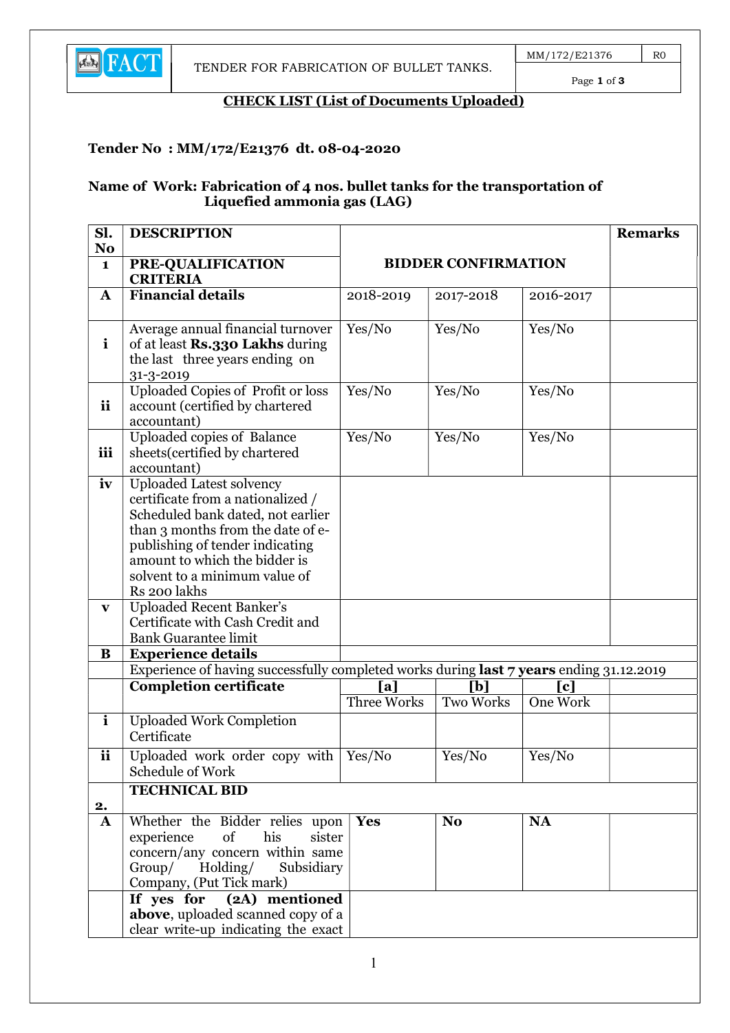

Page 1 of 3

### CHECK LIST (List of Documents Uploaded)

#### Tender No : MM/172/E21376 dt. 08-04-2020

#### Name of Work: Fabrication of 4 nos. bullet tanks for the transportation of Liquefied ammonia gas (LAG)

| Sl.<br>N <sub>o</sub> | <b>DESCRIPTION</b>                                                                                                                                                                                                                                                  |                                                                                                              |                  |           | <b>Remarks</b> |
|-----------------------|---------------------------------------------------------------------------------------------------------------------------------------------------------------------------------------------------------------------------------------------------------------------|--------------------------------------------------------------------------------------------------------------|------------------|-----------|----------------|
| $\mathbf{1}$          | PRE-QUALIFICATION<br><b>CRITERIA</b>                                                                                                                                                                                                                                | <b>BIDDER CONFIRMATION</b>                                                                                   |                  |           |                |
| A                     | Financial details                                                                                                                                                                                                                                                   | 2018-2019                                                                                                    | 2017-2018        | 2016-2017 |                |
| $\mathbf{i}$          | Average annual financial turnover<br>of at least Rs.330 Lakhs during<br>the last three years ending on<br>31-3-2019                                                                                                                                                 | Yes/No                                                                                                       | Yes/No           | Yes/No    |                |
| ii                    | Uploaded Copies of Profit or loss<br>account (certified by chartered<br>accountant)                                                                                                                                                                                 | Yes/No                                                                                                       | Yes/No           | Yes/No    |                |
| iii                   | Uploaded copies of Balance<br>sheets (certified by chartered<br>accountant)                                                                                                                                                                                         | Yes/No                                                                                                       | Yes/No           | Yes/No    |                |
| iv                    | <b>Uploaded Latest solvency</b><br>certificate from a nationalized /<br>Scheduled bank dated, not earlier<br>than 3 months from the date of e-<br>publishing of tender indicating<br>amount to which the bidder is<br>solvent to a minimum value of<br>Rs 200 lakhs |                                                                                                              |                  |           |                |
| $\mathbf{V}$          | <b>Uploaded Recent Banker's</b><br>Certificate with Cash Credit and<br><b>Bank Guarantee limit</b>                                                                                                                                                                  |                                                                                                              |                  |           |                |
| B                     | <b>Experience details</b>                                                                                                                                                                                                                                           |                                                                                                              |                  |           |                |
|                       | <b>Completion certificate</b>                                                                                                                                                                                                                                       | Experience of having successfully completed works during last 7 years ending 31.12.2019<br>[b]<br>[a]<br>[c] |                  |           |                |
|                       |                                                                                                                                                                                                                                                                     | Three Works                                                                                                  | <b>Two Works</b> | One Work  |                |
| $\mathbf{i}$          | <b>Uploaded Work Completion</b><br>Certificate                                                                                                                                                                                                                      |                                                                                                              |                  |           |                |
| ii                    | Uploaded work order copy with<br>Schedule of Work                                                                                                                                                                                                                   | Yes/No                                                                                                       | Yes/No           | Yes/No    |                |
|                       | <b>TECHNICAL BID</b>                                                                                                                                                                                                                                                |                                                                                                              |                  |           |                |
| 2.<br>$\mathbf{A}$    | Whether the Bidder relies upon                                                                                                                                                                                                                                      | <b>Yes</b>                                                                                                   | N <sub>o</sub>   | <b>NA</b> |                |
|                       | his<br>of<br>experience<br>sister<br>concern/any concern within same<br>Group/ Holding/<br>Subsidiary<br>Company, (Put Tick mark)                                                                                                                                   |                                                                                                              |                  |           |                |
|                       | (2A) mentioned<br>If yes for<br>above, uploaded scanned copy of a<br>clear write-up indicating the exact                                                                                                                                                            |                                                                                                              |                  |           |                |

1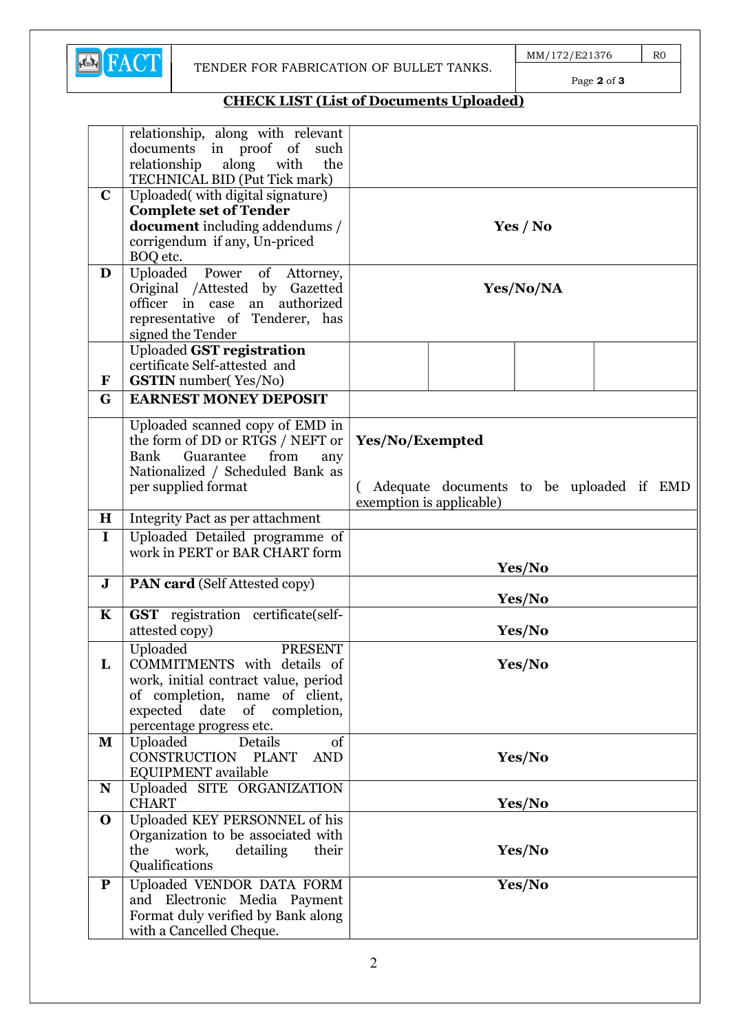

Page 2 of 3

# CHECK LIST (List of Documents Uploaded)

|              | relationship, along with relevant<br>documents in proof of<br>such |                                          |  |  |
|--------------|--------------------------------------------------------------------|------------------------------------------|--|--|
|              | relationship along<br>with<br>the                                  |                                          |  |  |
|              | TECHNICAL BID (Put Tick mark)                                      |                                          |  |  |
| $\mathbf C$  | Uploaded(with digital signature)                                   |                                          |  |  |
|              | <b>Complete set of Tender</b>                                      |                                          |  |  |
|              | <b>document</b> including addendums /                              |                                          |  |  |
|              |                                                                    | Yes / No                                 |  |  |
|              | corrigendum if any, Un-priced                                      |                                          |  |  |
|              | BOQ etc.                                                           |                                          |  |  |
| D            | Uploaded Power of Attorney,                                        | Yes/No/NA                                |  |  |
|              | Original /Attested by Gazetted<br>officer in case an authorized    |                                          |  |  |
|              |                                                                    |                                          |  |  |
|              | representative of Tenderer, has                                    |                                          |  |  |
|              | signed the Tender                                                  |                                          |  |  |
|              | <b>Uploaded GST registration</b>                                   |                                          |  |  |
|              | certificate Self-attested and                                      |                                          |  |  |
| $\mathbf{F}$ | <b>GSTIN</b> number(Yes/No)                                        |                                          |  |  |
| G            | <b>EARNEST MONEY DEPOSIT</b>                                       |                                          |  |  |
|              | Uploaded scanned copy of EMD in                                    |                                          |  |  |
|              | the form of DD or RTGS / NEFT or                                   | Yes/No/Exempted                          |  |  |
|              | from<br>Bank<br>Guarantee<br>any                                   | Adequate documents to be uploaded if EMD |  |  |
|              | Nationalized / Scheduled Bank as                                   |                                          |  |  |
|              | per supplied format                                                |                                          |  |  |
|              |                                                                    | exemption is applicable)                 |  |  |
| $\bf H$      | Integrity Pact as per attachment                                   |                                          |  |  |
| $\mathbf I$  | Uploaded Detailed programme of                                     |                                          |  |  |
|              | work in PERT or BAR CHART form                                     |                                          |  |  |
|              |                                                                    | Yes/No                                   |  |  |
| $\mathbf J$  | <b>PAN card</b> (Self Attested copy)                               | Yes/No                                   |  |  |
| $\mathbf K$  | GST registration certificate(self-                                 |                                          |  |  |
|              | attested copy)                                                     | Yes/No                                   |  |  |
|              | Uploaded<br><b>PRESENT</b>                                         |                                          |  |  |
|              | COMMITMENTS with details of                                        |                                          |  |  |
| L            |                                                                    | Yes/No                                   |  |  |
|              | work, initial contract value, period                               |                                          |  |  |
|              | of completion, name of client,                                     |                                          |  |  |
|              | expected date of completion,<br>percentage progress etc.           |                                          |  |  |
| $\mathbf{M}$ | Uploaded<br>Details<br>of                                          |                                          |  |  |
|              | CONSTRUCTION PLANT<br><b>AND</b>                                   |                                          |  |  |
|              | EQUIPMENT available                                                | Yes/No                                   |  |  |
| ${\bf N}$    | Uploaded SITE ORGANIZATION                                         |                                          |  |  |
|              | <b>CHART</b>                                                       | Yes/No                                   |  |  |
| $\mathbf 0$  | Uploaded KEY PERSONNEL of his                                      |                                          |  |  |
|              | Organization to be associated with                                 |                                          |  |  |
|              | the<br>work,<br>detailing<br>their                                 | Yes/No                                   |  |  |
|              | Qualifications                                                     |                                          |  |  |
|              |                                                                    |                                          |  |  |
| ${\bf P}$    | Uploaded VENDOR DATA FORM                                          | Yes/No                                   |  |  |
|              | and Electronic Media Payment                                       |                                          |  |  |
|              | Format duly verified by Bank along                                 |                                          |  |  |
|              | with a Cancelled Cheque.                                           |                                          |  |  |